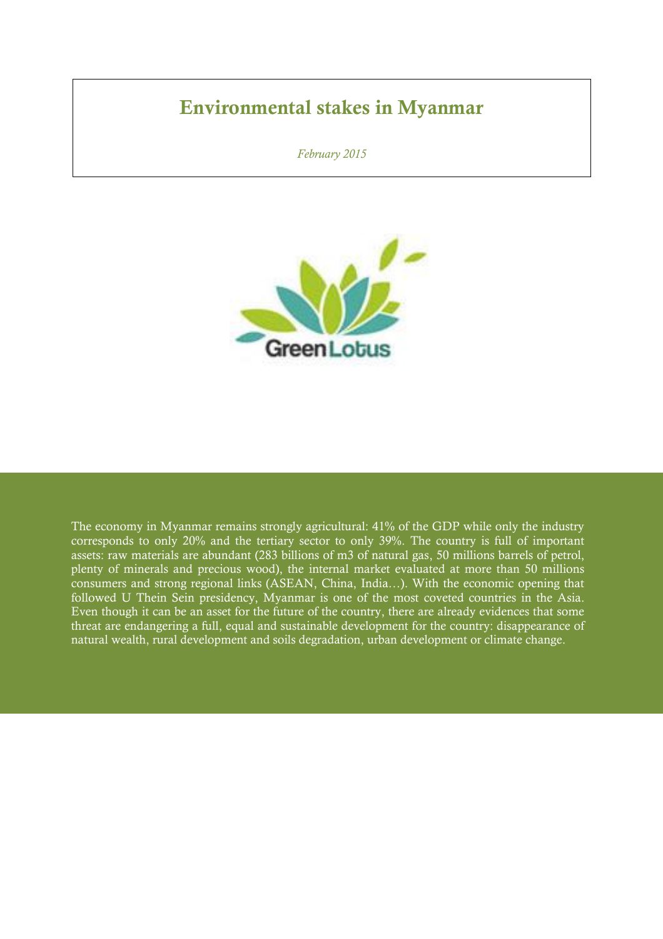### **Environmental stakes in Myanmar**

*February 2015*



The economy in Myanmar remains strongly agricultural: 41% of the GDP while only the industry corresponds to only 20% and the tertiary sector to only 39%. The country is full of important assets: raw materials are abundant (283 billions of m3 of natural gas, 50 millions barrels of petrol, plenty of minerals and precious wood), the internal market evaluated at more than 50 millions consumers and strong regional links (ASEAN, China, India…). With the economic opening that followed U Thein Sein presidency, Myanmar is one of the most coveted countries in the Asia. Even though it can be an asset for the future of the country, there are already evidences that some threat are endangering a full, equal and sustainable development for the country: disappearance of natural wealth, rural development and soils degradation, urban development or climate change.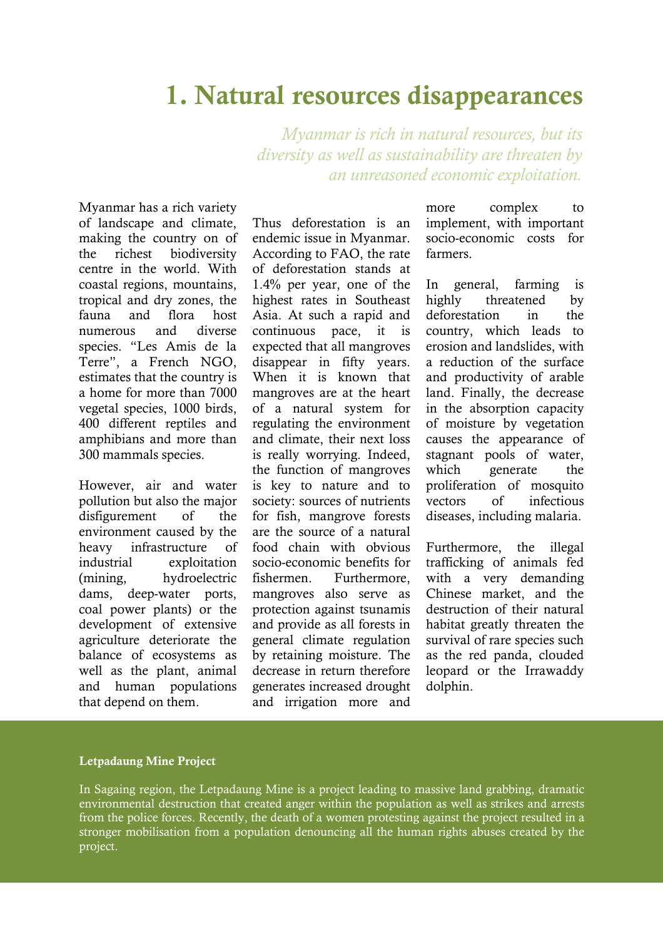### **1. Natural resources disappearances**

*Myanmar is rich in natural resources, but its diversity as well as sustainability are threaten by an unreasoned economic exploitation.*

Myanmar has a rich variety of landscape and climate, making the country on of the richest biodiversity centre in the world. With coastal regions, mountains, tropical and dry zones, the fauna and flora host numerous and diverse species. "Les Amis de la Terre", a French NGO, estimates that the country is a home for more than 7000 vegetal species, 1000 birds, 400 different reptiles and amphibians and more than 300 mammals species.

However, air and water pollution but also the major disfigurement of the environment caused by the heavy infrastructure of industrial exploitation (mining, hydroelectric dams, deep-water ports, coal power plants) or the development of extensive agriculture deteriorate the balance of ecosystems as well as the plant, animal and human populations that depend on them.

Thus deforestation is an endemic issue in Myanmar. According to FAO, the rate of deforestation stands at 1.4% per year, one of the highest rates in Southeast Asia. At such a rapid and continuous pace, it is expected that all mangroves disappear in fifty years. When it is known that mangroves are at the heart of a natural system for regulating the environment and climate, their next loss is really worrying. Indeed, the function of mangroves is key to nature and to society: sources of nutrients for fish, mangrove forests are the source of a natural food chain with obvious socio-economic benefits for fishermen. Furthermore, mangroves also serve as protection against tsunamis and provide as all forests in general climate regulation by retaining moisture. The decrease in return therefore generates increased drought and irrigation more and

more complex to implement, with important socio-economic costs for farmers.

In general, farming is highly threatened by deforestation in the country, which leads to erosion and landslides, with a reduction of the surface and productivity of arable land. Finally, the decrease in the absorption capacity of moisture by vegetation causes the appearance of stagnant pools of water, which generate the proliferation of mosquito vectors of infectious diseases, including malaria.

Furthermore, the illegal trafficking of animals fed with a very demanding Chinese market, and the destruction of their natural habitat greatly threaten the survival of rare species such as the red panda, clouded leopard or the Irrawaddy dolphin.

#### **Letpadaung Mine Project**

In Sagaing region, the Letpadaung Mine is a project leading to massive land grabbing, dramatic environmental destruction that created anger within the population as well as strikes and arrests from the police forces. Recently, the death of a women protesting against the project resulted in a stronger mobilisation from a population denouncing all the human rights abuses created by the project.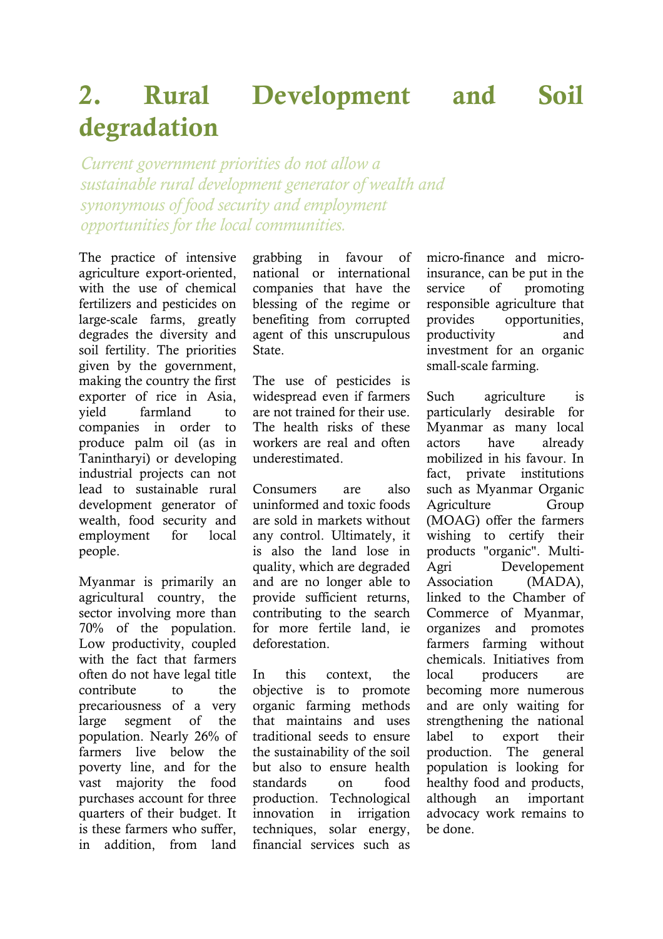# **2. Rural Development and Soil degradation**

*Current government priorities do not allow a sustainable rural development generator of wealth and synonymous of food security and employment opportunities for the local communities.* 

The practice of intensive agriculture export-oriented, with the use of chemical fertilizers and pesticides on large-scale farms, greatly degrades the diversity and soil fertility. The priorities given by the government, making the country the first exporter of rice in Asia, yield farmland to companies in order to produce palm oil (as in Tanintharyi) or developing industrial projects can not lead to sustainable rural development generator of wealth, food security and employment for local people.

Myanmar is primarily an agricultural country, the sector involving more than 70% of the population. Low productivity, coupled with the fact that farmers often do not have legal title contribute to the precariousness of a very large segment of the population. Nearly 26% of farmers live below the poverty line, and for the vast majority the food purchases account for three quarters of their budget. It is these farmers who suffer, in addition, from land grabbing in favour of national or international companies that have the blessing of the regime or benefiting from corrupted agent of this unscrupulous State.

The use of pesticides is widespread even if farmers are not trained for their use. The health risks of these workers are real and often underestimated.

Consumers are also uninformed and toxic foods are sold in markets without any control. Ultimately, it is also the land lose in quality, which are degraded and are no longer able to provide sufficient returns, contributing to the search for more fertile land, ie deforestation.

In this context, the objective is to promote organic farming methods that maintains and uses traditional seeds to ensure the sustainability of the soil but also to ensure health standards on food production. Technological innovation in irrigation techniques, solar energy, financial services such as

micro-finance and microinsurance, can be put in the service of promoting responsible agriculture that provides opportunities, productivity and investment for an organic small-scale farming.

Such agriculture is particularly desirable for Myanmar as many local actors have already mobilized in his favour. In fact, private institutions such as Myanmar Organic Agriculture Group (MOAG) offer the farmers wishing to certify their products "organic". Multi-Agri Developement Association (MADA), linked to the Chamber of Commerce of Myanmar, organizes and promotes farmers farming without chemicals. Initiatives from local producers are becoming more numerous and are only waiting for strengthening the national label to export their production. The general population is looking for healthy food and products, although an important advocacy work remains to be done.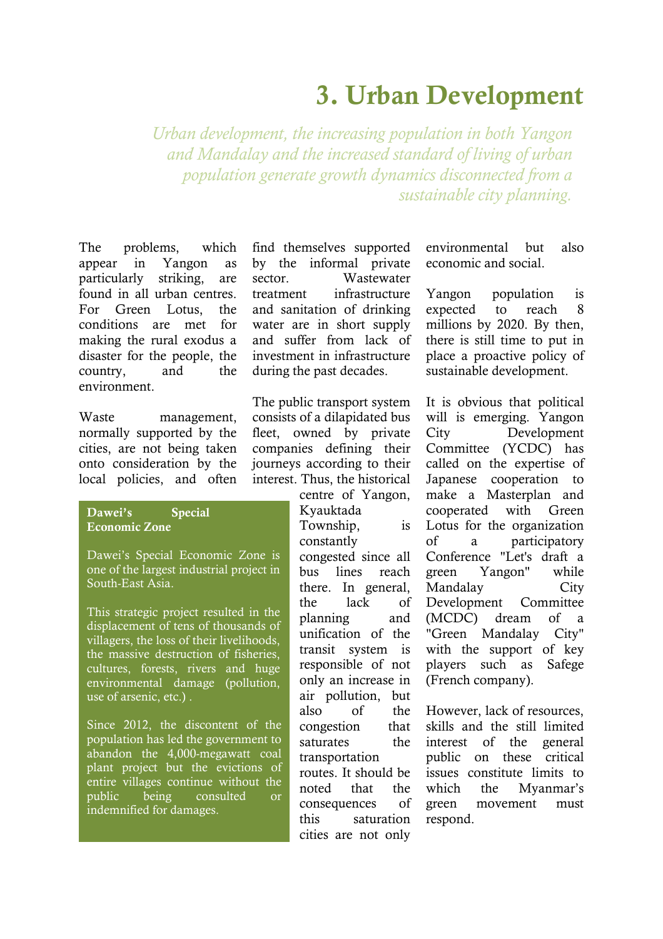# **3. Urban Development**

*Urban development, the increasing population in both Yangon and Mandalay and the increased standard of living of urban population generate growth dynamics disconnected from a sustainable city planning.*

The problems, which appear in Yangon as particularly striking, are found in all urban centres. For Green Lotus, the conditions are met for making the rural exodus a disaster for the people, the country, and the environment.

Waste management, normally supported by the cities, are not being taken onto consideration by the local policies, and often

**Dawei's Special Economic Zone**

Dawei's Special Economic Zone is one of the largest industrial project in South-East Asia.

This strategic project resulted in the displacement of tens of thousands of villagers, the loss of their livelihoods, the massive destruction of fisheries, cultures, forests, rivers and huge environmental damage (pollution, use of arsenic, etc.) .

Since 2012, the discontent of the population has led the government to abandon the 4,000-megawatt coal plant project but the evictions of entire villages continue without the public being consulted or indemnified for damages.

find themselves supported by the informal private sector. Wastewater treatment infrastructure and sanitation of drinking water are in short supply and suffer from lack of investment in infrastructure during the past decades.

The public transport system consists of a dilapidated bus fleet, owned by private companies defining their journeys according to their interest. Thus, the historical

> centre of Yangon, Kyauktada Township, is constantly congested since all bus lines reach there. In general, the lack of planning and unification of the transit system is responsible of not only an increase in air pollution, but also of the congestion that saturates the transportation routes. It should be noted that the consequences of this saturation cities are not only

environmental but also economic and social.

Yangon population is expected to reach 8 millions by 2020. By then, there is still time to put in place a proactive policy of sustainable development.

It is obvious that political will is emerging. Yangon City Development Committee (YCDC) has called on the expertise of Japanese cooperation to make a Masterplan and cooperated with Green Lotus for the organization of a participatory Conference "Let's draft a green Yangon" while Mandalay City Development Committee (MCDC) dream of a "Green Mandalay City" with the support of key players such as Safege (French company).

However, lack of resources, skills and the still limited interest of the general public on these critical issues constitute limits to which the Myanmar's green movement must respond.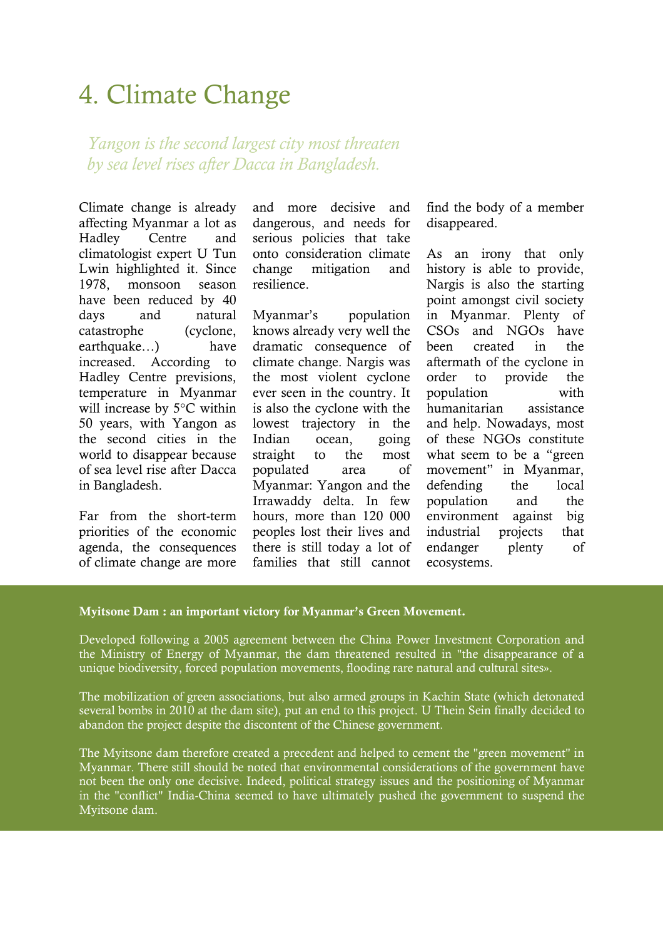# 4. Climate Change

*Yangon is the second largest city most threaten by sea level rises after Dacca in Bangladesh.* 

Climate change is already affecting Myanmar a lot as Hadley Centre and climatologist expert U Tun Lwin highlighted it. Since 1978, monsoon season have been reduced by 40 days and natural catastrophe (cyclone, earthquake…) have increased. According to Hadley Centre previsions, temperature in Myanmar will increase by 5°C within 50 years, with Yangon as the second cities in the world to disappear because of sea level rise after Dacca in Bangladesh.

Far from the short-term priorities of the economic agenda, the consequences of climate change are more

and more decisive and dangerous, and needs for serious policies that take onto consideration climate change mitigation and resilience.

Myanmar's population knows already very well the dramatic consequence of climate change. Nargis was the most violent cyclone ever seen in the country. It is also the cyclone with the lowest trajectory in the Indian ocean, going straight to the most populated area of Myanmar: Yangon and the Irrawaddy delta. In few hours, more than 120 000 peoples lost their lives and there is still today a lot of families that still cannot

find the body of a member disappeared.

As an irony that only history is able to provide, Nargis is also the starting point amongst civil society in Myanmar. Plenty of CSOs and NGOs have been created in the aftermath of the cyclone in order to provide the population with humanitarian assistance and help. Nowadays, most of these NGOs constitute what seem to be a "green movement" in Myanmar, defending the local population and the environment against big industrial projects that endanger plenty of ecosystems.

### **Myitsone Dam : an important victory for Myanmar's Green Movement.**

Developed following a 2005 agreement between the China Power Investment Corporation and the Ministry of Energy of Myanmar, the dam threatened resulted in "the disappearance of a unique biodiversity, forced population movements, flooding rare natural and cultural sites».

The mobilization of green associations, but also armed groups in Kachin State (which detonated several bombs in 2010 at the dam site), put an end to this project. U Thein Sein finally decided to abandon the project despite the discontent of the Chinese government.

The Myitsone dam therefore created a precedent and helped to cement the "green movement" in Myanmar. There still should be noted that environmental considerations of the government have not been the only one decisive. Indeed, political strategy issues and the positioning of Myanmar in the "conflict" India-China seemed to have ultimately pushed the government to suspend the Myitsone dam.